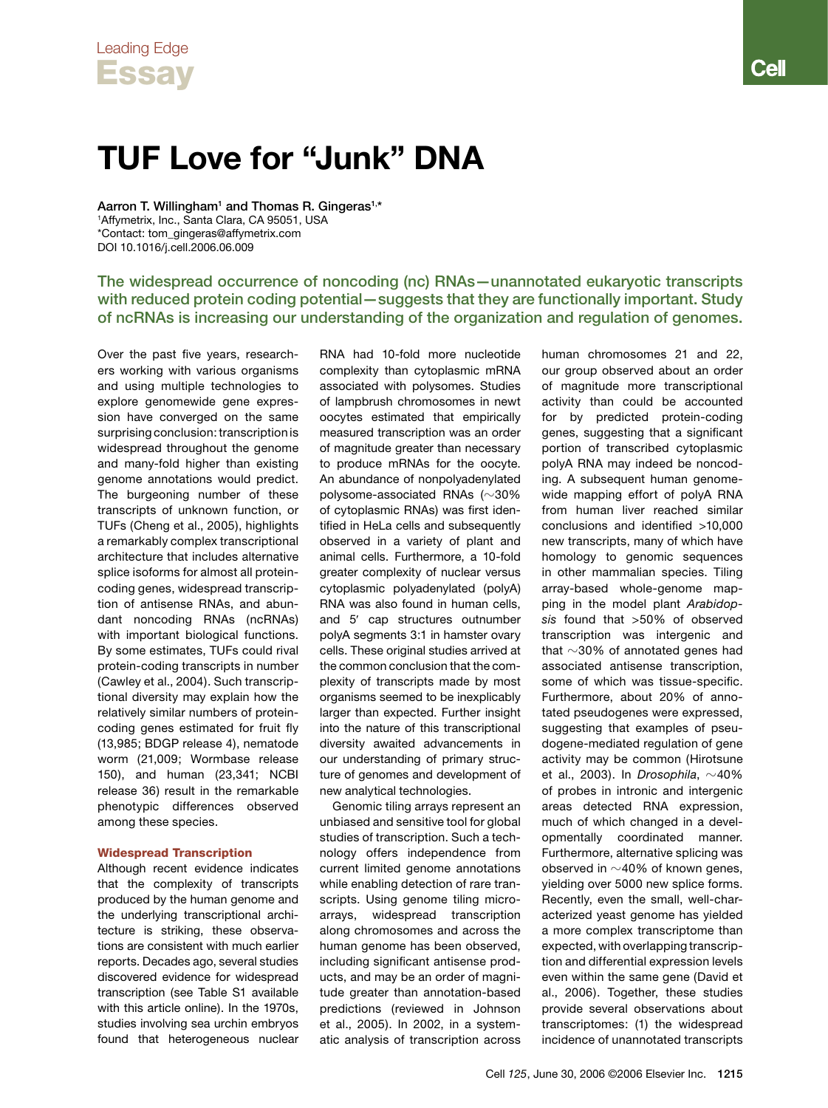# **TUF Love for "Junk" DNA**

Aarron T. Willingham<sup>1</sup> and Thomas R. Gingeras<sup>1,\*</sup> 1 Affymetrix, Inc., Santa Clara, CA 95051, USA \*Contact: tom\_gingeras@affymetrix.com DOI 10.1016/j.cell.2006.06.009

### The widespread occurrence of noncoding (nc) RNAs—unannotated eukaryotic transcripts with reduced protein coding potential—suggests that they are functionally important. Study of ncRNAs is increasing our understanding of the organization and regulation of genomes.

Over the past five years, researchers working with various organisms and using multiple technologies to explore genomewide gene expression have converged on the same surprising conclusion: transcription is widespread throughout the genome and many-fold higher than existing genome annotations would predict. The burgeoning number of these transcripts of unknown function, or TUFs (Cheng et al., 2005), highlights a remarkably complex transcriptional architecture that includes alternative splice isoforms for almost all proteincoding genes, widespread transcription of antisense RNAs, and abundant noncoding RNAs (ncRNAs) with important biological functions. By some estimates, TUFs could rival protein-coding transcripts in number (Cawley et al., 2004). Such transcriptional diversity may explain how the relatively similar numbers of proteincoding genes estimated for fruit fly (13,985; BDGP release 4), nematode worm (21,009; Wormbase release 150), and human (23,341; NCBI release 36) result in the remarkable phenotypic differences observed among these species.

#### Widespread Transcription

Although recent evidence indicates that the complexity of transcripts produced by the human genome and the underlying transcriptional architecture is striking, these observations are consistent with much earlier reports. Decades ago, several studies discovered evidence for widespread transcription (see Table S1 available with this article online). In the 1970s, studies involving sea urchin embryos found that heterogeneous nuclear RNA had 10-fold more nucleotide complexity than cytoplasmic mRNA associated with polysomes. Studies of lampbrush chromosomes in newt oocytes estimated that empirically measured transcription was an order of magnitude greater than necessary to produce mRNAs for the oocyte. An abundance of nonpolyadenylated polysome-associated RNAs  $(\sim]30\%$ of cytoplasmic RNAs) was first identified in HeLa cells and subsequently observed in a variety of plant and animal cells. Furthermore, a 10-fold greater complexity of nuclear versus cytoplasmic polyadenylated (polyA) RNA was also found in human cells, and 5′ cap structures outnumber polyA segments 3:1 in hamster ovary cells. These original studies arrived at the common conclusion that the complexity of transcripts made by most organisms seemed to be inexplicably larger than expected. Further insight into the nature of this transcriptional diversity awaited advancements in our understanding of primary structure of genomes and development of new analytical technologies.

Genomic tiling arrays represent an unbiased and sensitive tool for global studies of transcription. Such a technology offers independence from current limited genome annotations while enabling detection of rare transcripts. Using genome tiling microarrays, widespread transcription along chromosomes and across the human genome has been observed, including significant antisense products, and may be an order of magnitude greater than annotation-based predictions (reviewed in Johnson et al., 2005). In 2002, in a systematic analysis of transcription across human chromosomes 21 and 22, our group observed about an order of magnitude more transcriptional activity than could be accounted for by predicted protein-coding genes, suggesting that a significant portion of transcribed cytoplasmic polyA RNA may indeed be noncoding. A subsequent human genomewide mapping effort of polyA RNA from human liver reached similar conclusions and identified >10,000 new transcripts, many of which have homology to genomic sequences in other mammalian species. Tiling array-based whole-genome mapping in the model plant *Arabidopsis* found that >50% of observed transcription was intergenic and that  $\sim$ 30% of annotated genes had associated antisense transcription, some of which was tissue-specific. Furthermore, about 20% of annotated pseudogenes were expressed, suggesting that examples of pseudogene-mediated regulation of gene activity may be common (Hirotsune et al., 2003). In *Drosophila*,  $\sim$ 40% of probes in intronic and intergenic areas detected RNA expression, much of which changed in a developmentally coordinated manner. Furthermore, alternative splicing was observed in  $\sim$  40% of known genes, yielding over 5000 new splice forms. Recently, even the small, well-characterized yeast genome has yielded a more complex transcriptome than expected, with overlapping transcription and differential expression levels even within the same gene (David et al., 2006). Together, these studies provide several observations about transcriptomes: (1) the widespread incidence of unannotated transcripts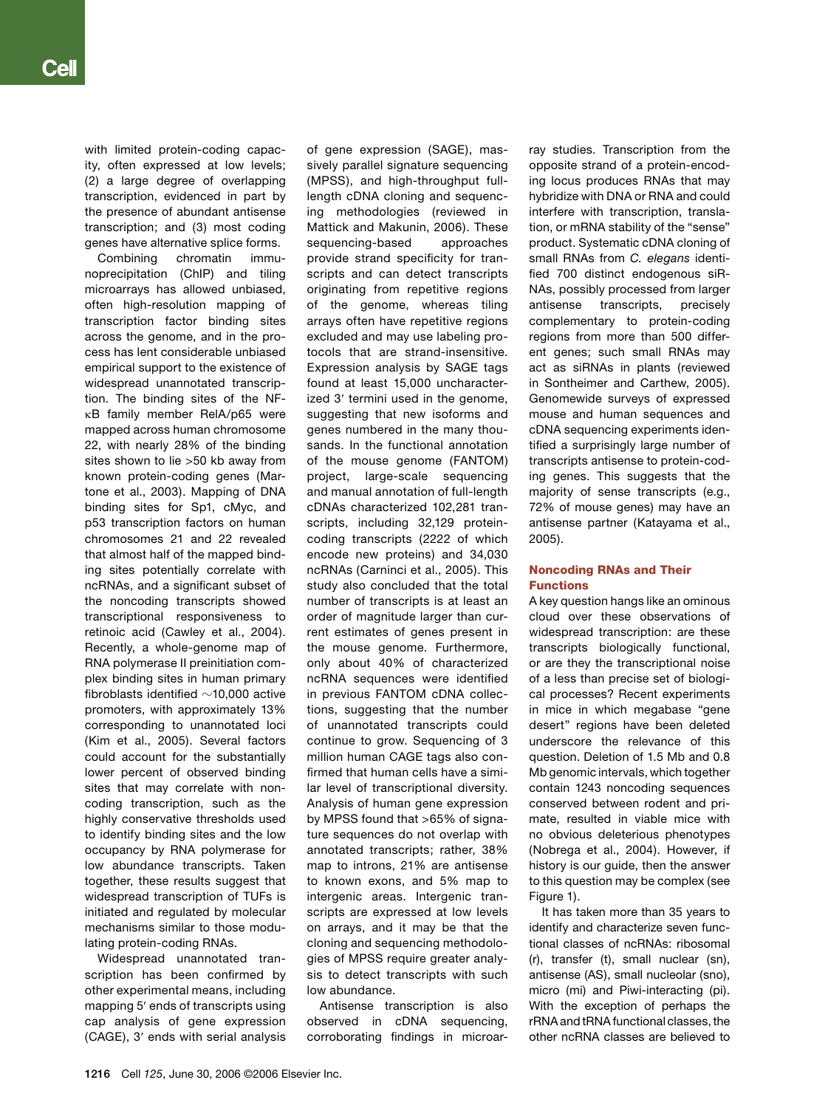with limited protein-coding capacity, often expressed at low levels; (2) a large degree of overlapping transcription, evidenced in part by the presence of abundant antisense transcription; and (3) most coding genes have alternative splice forms.

Combining chromatin immunoprecipitation (ChIP) and tiling microarrays has allowed unbiased, often high-resolution mapping of transcription factor binding sites across the genome, and in the process has lent considerable unbiased empirical support to the existence of widespread unannotated transcription. The binding sites of the NFκB family member RelA/p65 were mapped across human chromosome 22, with nearly 28% of the binding sites shown to lie >50 kb away from known protein-coding genes (Martone et al., 2003). Mapping of DNA binding sites for Sp1, cMyc, and p53 transcription factors on human chromosomes 21 and 22 revealed that almost half of the mapped binding sites potentially correlate with ncRNAs, and a significant subset of the noncoding transcripts showed transcriptional responsiveness to retinoic acid (Cawley et al., 2004). Recently, a whole-genome map of RNA polymerase II preinitiation complex binding sites in human primary fibroblasts identified  $\sim$ 10,000 active promoters, with approximately 13% corresponding to unannotated loci (Kim et al., 2005). Several factors could account for the substantially lower percent of observed binding sites that may correlate with noncoding transcription, such as the highly conservative thresholds used to identify binding sites and the low occupancy by RNA polymerase for low abundance transcripts. Taken together, these results suggest that widespread transcription of TUFs is initiated and regulated by molecular mechanisms similar to those modulating protein-coding RNAs.

Widespread unannotated transcription has been confirmed by other experimental means, including mapping 5′ ends of transcripts using cap analysis of gene expression (CAGE), 3′ ends with serial analysis of gene expression (SAGE), massively parallel signature sequencing (MPSS), and high-throughput fulllength cDNA cloning and sequencing methodologies (reviewed in Mattick and Makunin, 2006). These sequencing-based approaches provide strand specificity for transcripts and can detect transcripts originating from repetitive regions of the genome, whereas tiling arrays often have repetitive regions excluded and may use labeling protocols that are strand-insensitive. Expression analysis by SAGE tags found at least 15,000 uncharacterized 3′ termini used in the genome, suggesting that new isoforms and genes numbered in the many thousands. In the functional annotation of the mouse genome (FANTOM) project, large-scale sequencing and manual annotation of full-length cDNAs characterized 102,281 transcripts, including 32,129 proteincoding transcripts (2222 of which encode new proteins) and 34,030 ncRNAs (Carninci et al., 2005). This study also concluded that the total number of transcripts is at least an order of magnitude larger than current estimates of genes present in the mouse genome. Furthermore, only about 40% of characterized ncRNA sequences were identified in previous FANTOM cDNA collections, suggesting that the number of unannotated transcripts could continue to grow. Sequencing of 3 million human CAGE tags also confirmed that human cells have a similar level of transcriptional diversity. Analysis of human gene expression by MPSS found that >65% of signature sequences do not overlap with annotated transcripts; rather, 38% map to introns, 21% are antisense to known exons, and 5% map to intergenic areas. Intergenic transcripts are expressed at low levels on arrays, and it may be that the cloning and sequencing methodologies of MPSS require greater analysis to detect transcripts with such low abundance.

Antisense transcription is also observed in cDNA sequencing, corroborating findings in microarray studies. Transcription from the opposite strand of a protein-encoding locus produces RNAs that may hybridize with DNA or RNA and could interfere with transcription, translation, or mRNA stability of the "sense" product. Systematic cDNA cloning of small RNAs from *C. elegans* identified 700 distinct endogenous siR-NAs, possibly processed from larger antisense transcripts, precisely complementary to protein-coding regions from more than 500 different genes; such small RNAs may act as siRNAs in plants (reviewed in Sontheimer and Carthew, 2005). Genomewide surveys of expressed mouse and human sequences and cDNA sequencing experiments identified a surprisingly large number of transcripts antisense to protein-coding genes. This suggests that the majority of sense transcripts (e.g., 72% of mouse genes) may have an antisense partner (Katayama et al., 2005).

#### Noncoding RNAs and Their Functions

A key question hangs like an ominous cloud over these observations of widespread transcription: are these transcripts biologically functional, or are they the transcriptional noise of a less than precise set of biological processes? Recent experiments in mice in which megabase "gene desert" regions have been deleted underscore the relevance of this question. Deletion of 1.5 Mb and 0.8 Mb genomic intervals, which together contain 1243 noncoding sequences conserved between rodent and primate, resulted in viable mice with no obvious deleterious phenotypes (Nobrega et al., 2004). However, if history is our guide, then the answer to this question may be complex (see Figure 1).

It has taken more than 35 years to identify and characterize seven functional classes of ncRNAs: ribosomal (r), transfer (t), small nuclear (sn), antisense (AS), small nucleolar (sno), micro (mi) and Piwi-interacting (pi). With the exception of perhaps the rRNA and tRNA functional classes, the other ncRNA classes are believed to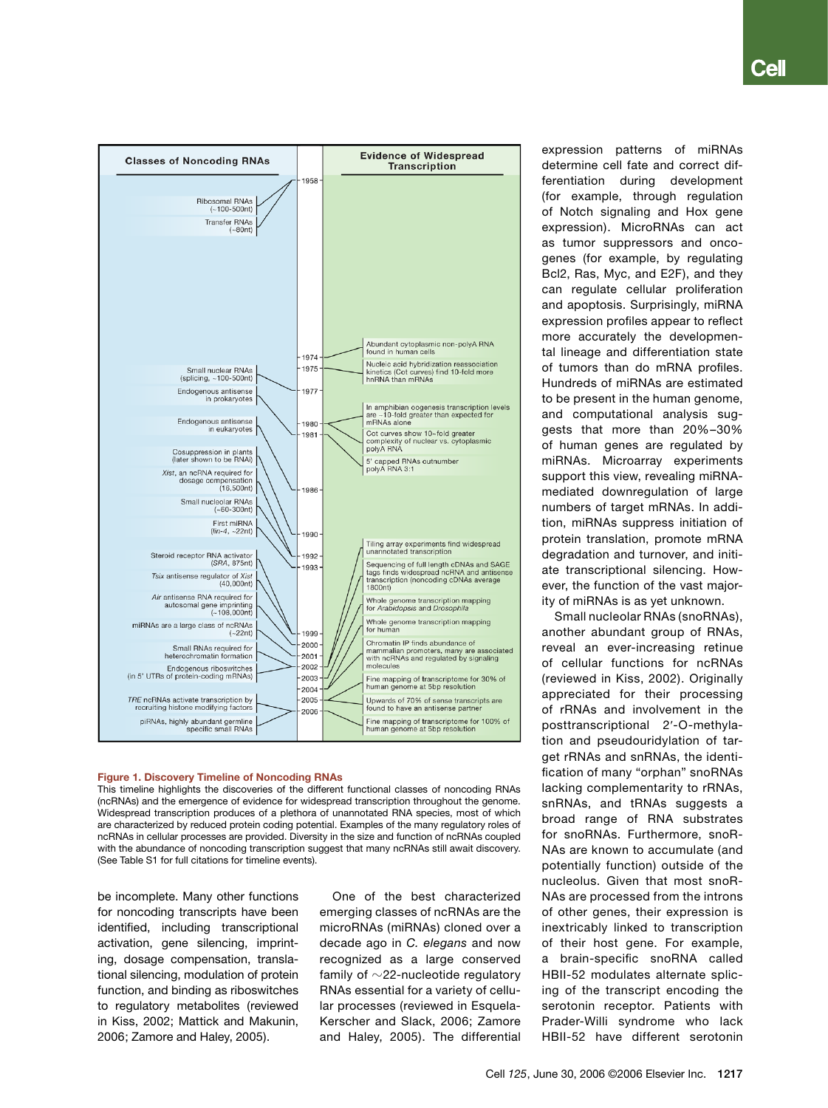



#### **Figure 1. Discovery Timeline of Noncoding RNAs**

This timeline highlights the discoveries of the different functional classes of noncoding RNAs (ncRNAs) and the emergence of evidence for widespread transcription throughout the genome. Widespread transcription produces of a plethora of unannotated RNA species, most of which are characterized by reduced protein coding potential. Examples of the many regulatory roles of ncRNAs in cellular processes are provided. Diversity in the size and function of ncRNAs coupled with the abundance of noncoding transcription suggest that many ncRNAs still await discovery. (See Table S1 for full citations for timeline events).

be incomplete. Many other functions for noncoding transcripts have been identified, including transcriptional activation, gene silencing, imprinting, dosage compensation, translational silencing, modulation of protein function, and binding as riboswitches to regulatory metabolites (reviewed in Kiss, 2002; Mattick and Makunin, 2006; Zamore and Haley, 2005).

One of the best characterized emerging classes of ncRNAs are the microRNAs (miRNAs) cloned over a decade ago in *C. elegans* and now recognized as a large conserved family of  $\sim$ 22-nucleotide regulatory RNAs essential for a variety of cellular processes (reviewed in Esquela-Kerscher and Slack, 2006; Zamore and Haley, 2005). The differential

expression patterns of miRNAs determine cell fate and correct differentiation during development (for example, through regulation of Notch signaling and Hox gene expression). MicroRNAs can act as tumor suppressors and oncogenes (for example, by regulating Bcl2, Ras, Myc, and E2F), and they can regulate cellular proliferation and apoptosis. Surprisingly, miRNA expression profiles appear to reflect more accurately the developmental lineage and differentiation state of tumors than do mRNA profiles. Hundreds of miRNAs are estimated to be present in the human genome, and computational analysis suggests that more than 20%–30% of human genes are regulated by miRNAs. Microarray experiments support this view, revealing miRNAmediated downregulation of large numbers of target mRNAs. In addition, miRNAs suppress initiation of protein translation, promote mRNA degradation and turnover, and initiate transcriptional silencing. However, the function of the vast majority of miRNAs is as yet unknown.

Small nucleolar RNAs (snoRNAs), another abundant group of RNAs, reveal an ever-increasing retinue of cellular functions for ncRNAs (reviewed in Kiss, 2002). Originally appreciated for their processing of rRNAs and involvement in the posttranscriptional 2′-O-methylation and pseudouridylation of target rRNAs and snRNAs, the identification of many "orphan" snoRNAs lacking complementarity to rRNAs, snRNAs, and tRNAs suggests a broad range of RNA substrates for snoRNAs. Furthermore, snoR-NAs are known to accumulate (and potentially function) outside of the nucleolus. Given that most snoR-NAs are processed from the introns of other genes, their expression is inextricably linked to transcription of their host gene. For example, a brain-specific snoRNA called HBII-52 modulates alternate splicing of the transcript encoding the serotonin receptor. Patients with Prader-Willi syndrome who lack HBII-52 have different serotonin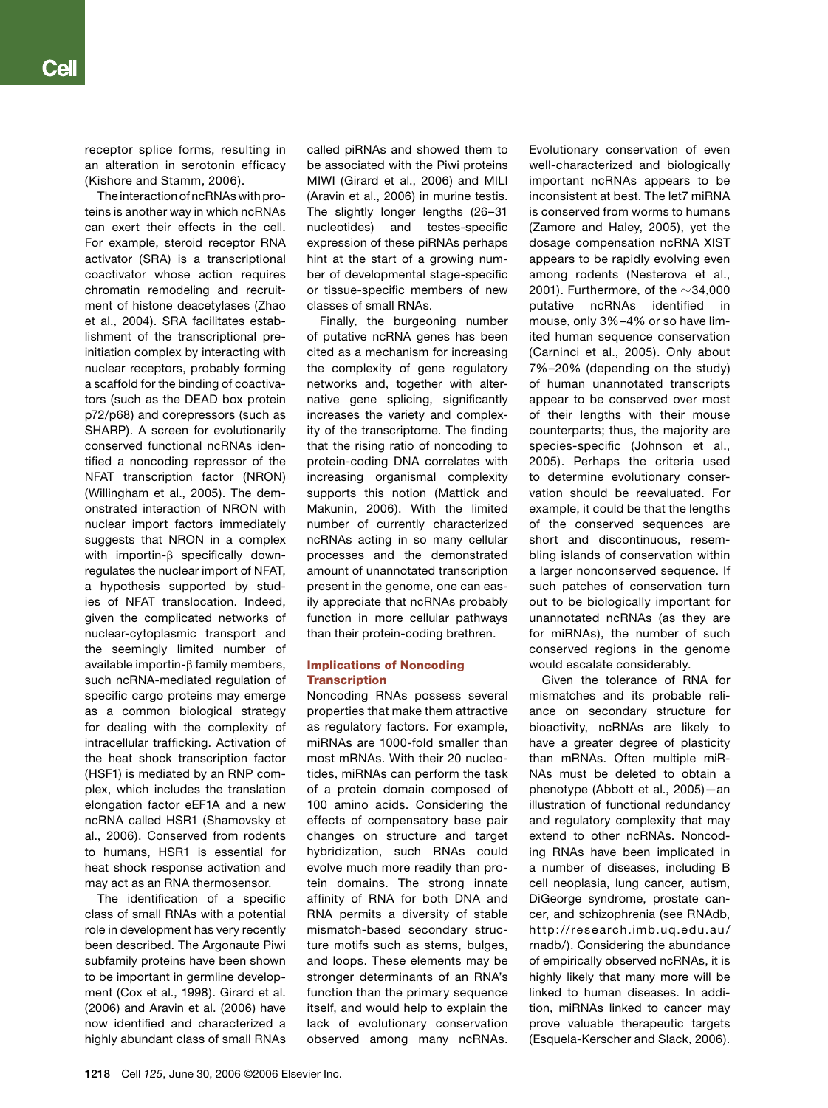receptor splice forms, resulting in an alteration in serotonin efficacy (Kishore and Stamm, 2006).

The interaction of ncRNAs with proteins is another way in which ncRNAs can exert their effects in the cell. For example, steroid receptor RNA activator (SRA) is a transcriptional coactivator whose action requires chromatin remodeling and recruitment of histone deacetylases (Zhao et al., 2004). SRA facilitates establishment of the transcriptional preinitiation complex by interacting with nuclear receptors, probably forming a scaffold for the binding of coactivators (such as the DEAD box protein p72/p68) and corepressors (such as SHARP). A screen for evolutionarily conserved functional ncRNAs identified a noncoding repressor of the NFAT transcription factor (NRON) (Willingham et al., 2005). The demonstrated interaction of NRON with nuclear import factors immediately suggests that NRON in a complex with importin-β specifically downregulates the nuclear import of NFAT, a hypothesis supported by studies of NFAT translocation. Indeed, given the complicated networks of nuclear-cytoplasmic transport and the seemingly limited number of available importin-β family members, such ncRNA-mediated regulation of specific cargo proteins may emerge as a common biological strategy for dealing with the complexity of intracellular trafficking. Activation of the heat shock transcription factor (HSF1) is mediated by an RNP complex, which includes the translation elongation factor eEF1A and a new ncRNA called HSR1 (Shamovsky et al., 2006). Conserved from rodents to humans, HSR1 is essential for heat shock response activation and may act as an RNA thermosensor.

The identification of a specific class of small RNAs with a potential role in development has very recently been described. The Argonaute Piwi subfamily proteins have been shown to be important in germline development (Cox et al., 1998). Girard et al. (2006) and Aravin et al. (2006) have now identified and characterized a highly abundant class of small RNAs called piRNAs and showed them to be associated with the Piwi proteins MIWI (Girard et al., 2006) and MILI (Aravin et al., 2006) in murine testis. The slightly longer lengths (26–31 nucleotides) and testes-specific expression of these piRNAs perhaps hint at the start of a growing number of developmental stage-specific or tissue-specific members of new classes of small RNAs.

Finally, the burgeoning number of putative ncRNA genes has been cited as a mechanism for increasing the complexity of gene regulatory networks and, together with alternative gene splicing, significantly increases the variety and complexity of the transcriptome. The finding that the rising ratio of noncoding to protein-coding DNA correlates with increasing organismal complexity supports this notion (Mattick and Makunin, 2006). With the limited number of currently characterized ncRNAs acting in so many cellular processes and the demonstrated amount of unannotated transcription present in the genome, one can easily appreciate that ncRNAs probably function in more cellular pathways than their protein-coding brethren.

#### Implications of Noncoding **Transcription**

Noncoding RNAs possess several properties that make them attractive as regulatory factors. For example, miRNAs are 1000-fold smaller than most mRNAs. With their 20 nucleotides, miRNAs can perform the task of a protein domain composed of 100 amino acids. Considering the effects of compensatory base pair changes on structure and target hybridization, such RNAs could evolve much more readily than protein domains. The strong innate affinity of RNA for both DNA and RNA permits a diversity of stable mismatch-based secondary structure motifs such as stems, bulges, and loops. These elements may be stronger determinants of an RNA's function than the primary sequence itself, and would help to explain the lack of evolutionary conservation observed among many ncRNAs. Evolutionary conservation of even well-characterized and biologically important ncRNAs appears to be inconsistent at best. The let7 miRNA is conserved from worms to humans (Zamore and Haley, 2005), yet the dosage compensation ncRNA XIST appears to be rapidly evolving even among rodents (Nesterova et al., 2001). Furthermore, of the  $\sim$ 34,000 putative ncRNAs identified in mouse, only 3%–4% or so have limited human sequence conservation (Carninci et al., 2005). Only about 7%–20% (depending on the study) of human unannotated transcripts appear to be conserved over most of their lengths with their mouse counterparts; thus, the majority are species-specific (Johnson et al., 2005). Perhaps the criteria used to determine evolutionary conservation should be reevaluated. For example, it could be that the lengths of the conserved sequences are short and discontinuous, resembling islands of conservation within a larger nonconserved sequence. If such patches of conservation turn out to be biologically important for unannotated ncRNAs (as they are for miRNAs), the number of such conserved regions in the genome would escalate considerably.

Given the tolerance of RNA for mismatches and its probable reliance on secondary structure for bioactivity, ncRNAs are likely to have a greater degree of plasticity than mRNAs. Often multiple miR-NAs must be deleted to obtain a phenotype (Abbott et al., 2005)—an illustration of functional redundancy and regulatory complexity that may extend to other ncRNAs. Noncoding RNAs have been implicated in a number of diseases, including B cell neoplasia, lung cancer, autism, DiGeorge syndrome, prostate cancer, and schizophrenia (see RNAdb, http://research.imb.uq.edu.au / rnadb/). Considering the abundance of empirically observed ncRNAs, it is highly likely that many more will be linked to human diseases. In addition, miRNAs linked to cancer may prove valuable therapeutic targets (Esquela-Kerscher and Slack, 2006).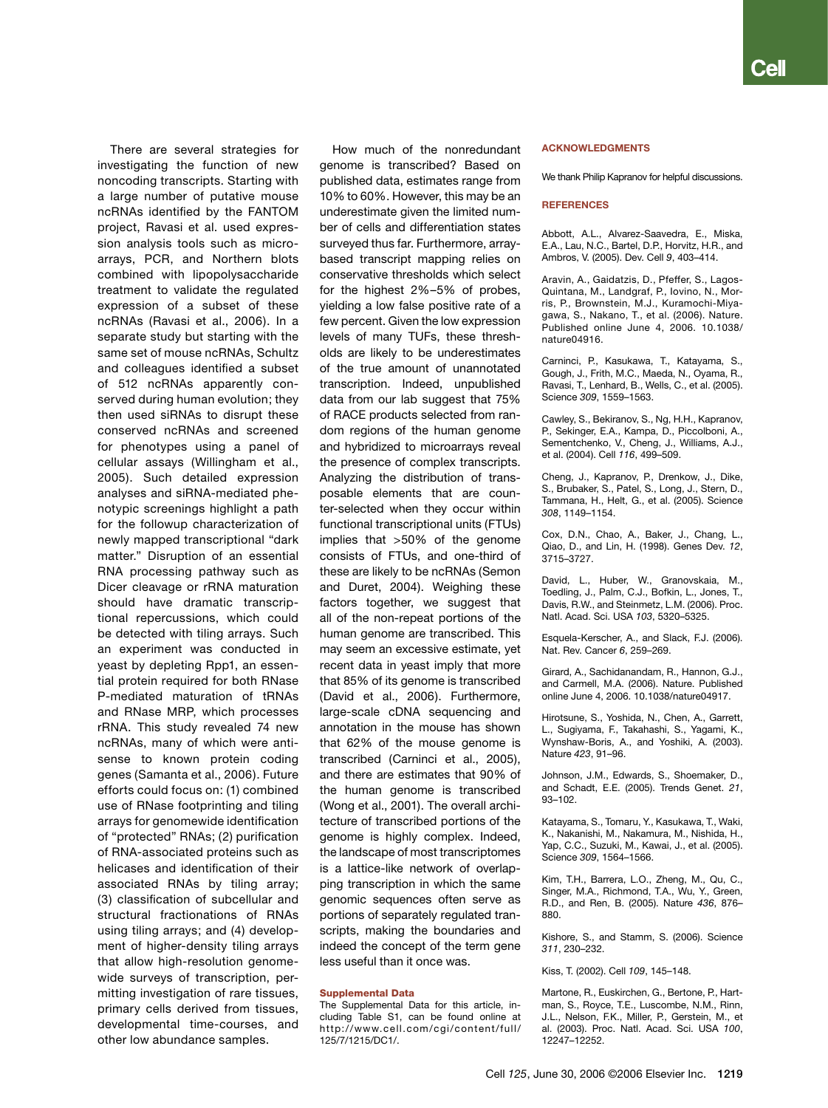There are several strategies for investigating the function of new noncoding transcripts. Starting with a large number of putative mouse ncRNAs identified by the FANTOM project, Ravasi et al. used expression analysis tools such as microarrays, PCR, and Northern blots combined with lipopolysaccharide treatment to validate the regulated expression of a subset of these ncRNAs (Ravasi et al., 2006). In a separate study but starting with the same set of mouse ncRNAs, Schultz and colleagues identified a subset of 512 ncRNAs apparently conserved during human evolution; they then used siRNAs to disrupt these conserved ncRNAs and screened for phenotypes using a panel of cellular assays (Willingham et al., 2005). Such detailed expression analyses and siRNA-mediated phenotypic screenings highlight a path for the followup characterization of newly mapped transcriptional "dark matter." Disruption of an essential RNA processing pathway such as Dicer cleavage or rRNA maturation should have dramatic transcriptional repercussions, which could be detected with tiling arrays. Such an experiment was conducted in yeast by depleting Rpp1, an essential protein required for both RNase P-mediated maturation of tRNAs and RNase MRP, which processes rRNA. This study revealed 74 new ncRNAs, many of which were antisense to known protein coding genes (Samanta et al., 2006). Future efforts could focus on: (1) combined use of RNase footprinting and tiling arrays for genomewide identification of "protected" RNAs; (2) purification of RNA-associated proteins such as helicases and identification of their associated RNAs by tiling array; (3) classification of subcellular and structural fractionations of RNAs using tiling arrays; and (4) development of higher-density tiling arrays that allow high-resolution genomewide surveys of transcription, permitting investigation of rare tissues, primary cells derived from tissues, developmental time-courses, and other low abundance samples.

How much of the nonredundant genome is transcribed? Based on published data, estimates range from 10% to 60%. However, this may be an underestimate given the limited number of cells and differentiation states surveyed thus far. Furthermore, arraybased transcript mapping relies on conservative thresholds which select for the highest 2%–5% of probes, yielding a low false positive rate of a few percent. Given the low expression levels of many TUFs, these thresholds are likely to be underestimates of the true amount of unannotated transcription. Indeed, unpublished data from our lab suggest that 75% of RACE products selected from random regions of the human genome and hybridized to microarrays reveal the presence of complex transcripts. Analyzing the distribution of transposable elements that are counter-selected when they occur within functional transcriptional units (FTUs) implies that >50% of the genome consists of FTUs, and one-third of these are likely to be ncRNAs (Semon and Duret, 2004). Weighing these factors together, we suggest that all of the non-repeat portions of the human genome are transcribed. This may seem an excessive estimate, yet recent data in yeast imply that more that 85% of its genome is transcribed (David et al., 2006). Furthermore, large-scale cDNA sequencing and annotation in the mouse has shown that 62% of the mouse genome is transcribed (Carninci et al., 2005), and there are estimates that 90% of the human genome is transcribed (Wong et al., 2001). The overall architecture of transcribed portions of the genome is highly complex. Indeed, the landscape of most transcriptomes is a lattice-like network of overlapping transcription in which the same genomic sequences often serve as portions of separately regulated transcripts, making the boundaries and indeed the concept of the term gene less useful than it once was.

#### Supplemental Data

The Supplemental Data for this article, including Table S1, can be found online at http://www.cell.com/cgi/content/full/ 125/7/1215/DC1/.

#### **Acknowledgments**

We thank Philip Kapranov for helpful discussions.

#### **References**

Abbott, A.L., Alvarez-Saavedra, E., Miska, E.A., Lau, N.C., Bartel, D.P., Horvitz, H.R., and Ambros, V. (2005). Dev. Cell *9*, 403–414.

Aravin, A., Gaidatzis, D., Pfeffer, S., Lagos-Quintana, M., Landgraf, P., Iovino, N., Morris, P., Brownstein, M.J., Kuramochi-Miyagawa, S., Nakano, T., et al. (2006). Nature. Published online June 4, 2006. 10.1038/ nature04916.

Carninci, P., Kasukawa, T., Katayama, S., Gough, J., Frith, M.C., Maeda, N., Oyama, R., Ravasi, T., Lenhard, B., Wells, C., et al. (2005). Science *309*, 1559–1563.

Cawley, S., Bekiranov, S., Ng, H.H., Kapranov, P., Sekinger, E.A., Kampa, D., Piccolboni, A., Sementchenko, V., Cheng, J., Williams, A.J., et al. (2004). Cell *116*, 499–509.

Cheng, J., Kapranov, P., Drenkow, J., Dike, S., Brubaker, S., Patel, S., Long, J., Stern, D., Tammana, H., Helt, G., et al. (2005). Science *308*, 1149–1154.

Cox, D.N., Chao, A., Baker, J., Chang, L., Qiao, D., and Lin, H. (1998). Genes Dev. *12*, 3715–3727.

David, L., Huber, W., Granovskaia, M., Toedling, J., Palm, C.J., Bofkin, L., Jones, T., Davis, R.W., and Steinmetz, L.M. (2006). Proc. Natl. Acad. Sci. USA *103*, 5320–5325.

Esquela-Kerscher, A., and Slack, F.J. (2006). Nat. Rev. Cancer *6*, 259–269.

Girard, A., Sachidanandam, R., Hannon, G.J., and Carmell, M.A. (2006). Nature. Published online June 4, 2006. 10.1038/nature04917.

Hirotsune, S., Yoshida, N., Chen, A., Garrett, L., Sugiyama, F., Takahashi, S., Yagami, K., Wynshaw-Boris, A., and Yoshiki, A. (2003). Nature *423*, 91–96.

Johnson, J.M., Edwards, S., Shoemaker, D., and Schadt, E.E. (2005). Trends Genet. *21*, 93–102.

Katayama, S., Tomaru, Y., Kasukawa, T., Waki, K., Nakanishi, M., Nakamura, M., Nishida, H., Yap, C.C., Suzuki, M., Kawai, J., et al. (2005). Science *309*, 1564–1566.

Kim, T.H., Barrera, L.O., Zheng, M., Qu, C., Singer, M.A., Richmond, T.A., Wu, Y., Green, R.D., and Ren, B. (2005). Nature *436*, 876– 880.

Kishore, S., and Stamm, S. (2006). Science *311*, 230–232.

Kiss, T. (2002). Cell *109*, 145–148.

Martone, R., Euskirchen, G., Bertone, P., Hartman, S., Royce, T.E., Luscombe, N.M., Rinn, J.L., Nelson, F.K., Miller, P., Gerstein, M., et al. (2003). Proc. Natl. Acad. Sci. USA *100*, 12247–12252.

**Cell**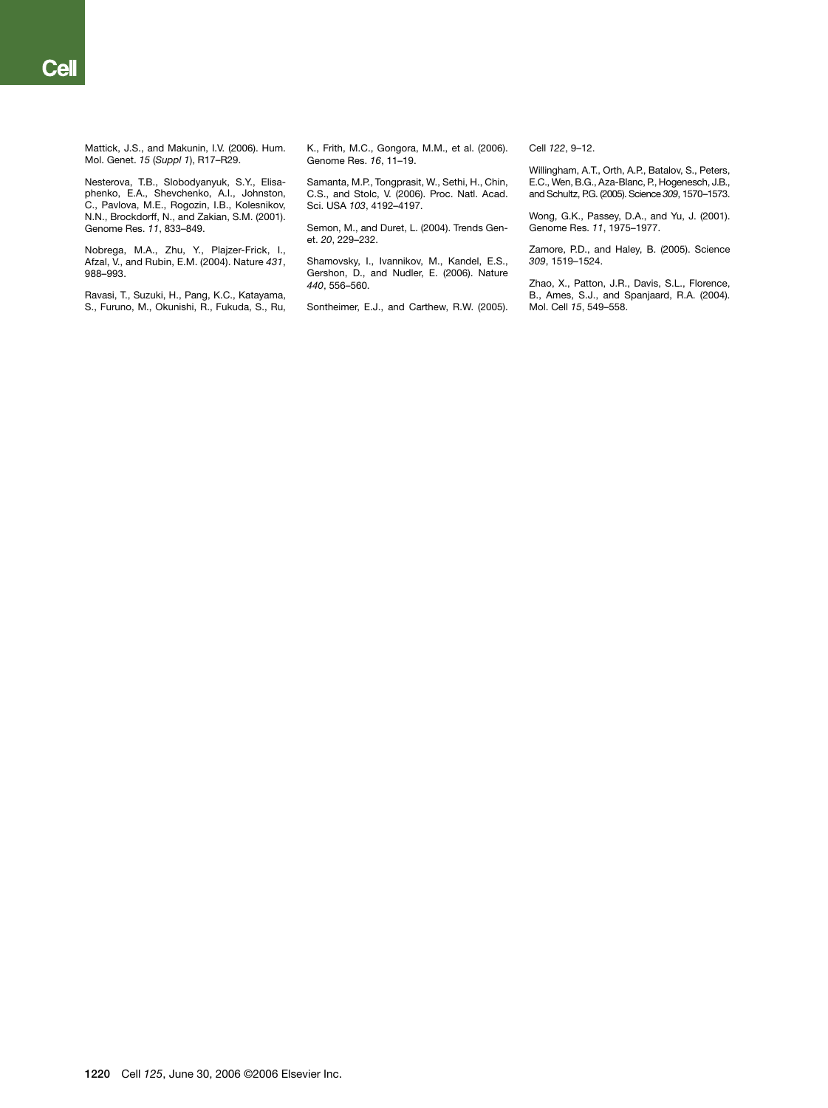Mattick, J.S., and Makunin, I.V. (2006). Hum. Mol. Genet. *15* (*Suppl 1*), R17–R29.

Nesterova, T.B., Slobodyanyuk, S.Y., Elisaphenko, E.A., Shevchenko, A.I., Johnston, C., Pavlova, M.E., Rogozin, I.B., Kolesnikov, N.N., Brockdorff, N., and Zakian, S.M. (2001). Genome Res. *11*, 833–849.

Nobrega, M.A., Zhu, Y., Plajzer-Frick, I., Afzal, V., and Rubin, E.M. (2004). Nature *431*, 988–993.

Ravasi, T., Suzuki, H., Pang, K.C., Katayama, S., Furuno, M., Okunishi, R., Fukuda, S., Ru, K., Frith, M.C., Gongora, M.M., et al. (2006). Genome Res. *16*, 11–19.

Samanta, M.P., Tongprasit, W., Sethi, H., Chin, C.S., and Stolc, V. (2006). Proc. Natl. Acad. Sci. USA *103*, 4192–4197.

Semon, M., and Duret, L. (2004). Trends Genet. *20*, 229–232.

Shamovsky, I., Ivannikov, M., Kandel, E.S., Gershon, D., and Nudler, E. (2006). Nature *440*, 556–560.

Sontheimer, E.J., and Carthew, R.W. (2005).

Cell *122*, 9–12.

Willingham, A.T., Orth, A.P., Batalov, S., Peters, E.C., Wen, B.G., Aza-Blanc, P., Hogenesch, J.B., and Schultz, P.G. (2005). Science *309*, 1570–1573.

Wong, G.K., Passey, D.A., and Yu, J. (2001). Genome Res. *11*, 1975–1977.

Zamore, P.D., and Haley, B. (2005). Science *309*, 1519–1524.

Zhao, X., Patton, J.R., Davis, S.L., Florence, B., Ames, S.J., and Spanjaard, R.A. (2004). Mol. Cell *15*, 549–558.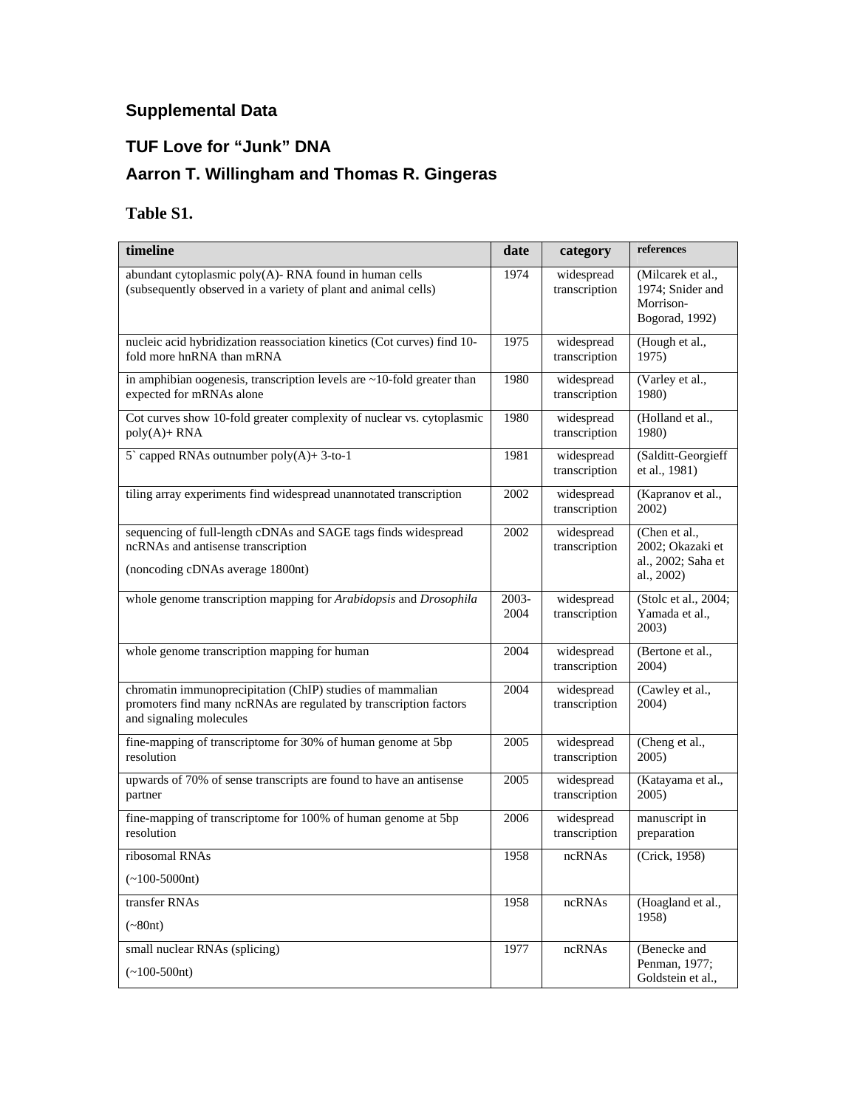# **Supplemental Data**

### **TUF Love for "Junk" DNA**

# **Aarron T. Willingham and Thomas R. Gingeras**

### **Table S1.**

| timeline                                                                                                                                                  | date          | category                    | references                                                           |
|-----------------------------------------------------------------------------------------------------------------------------------------------------------|---------------|-----------------------------|----------------------------------------------------------------------|
| abundant cytoplasmic poly(A)-RNA found in human cells<br>(subsequently observed in a variety of plant and animal cells)                                   | 1974          | widespread<br>transcription | (Milcarek et al.,<br>1974; Snider and<br>Morrison-<br>Bogorad, 1992) |
| nucleic acid hybridization reassociation kinetics (Cot curves) find 10-<br>fold more hnRNA than mRNA                                                      | 1975          | widespread<br>transcription | (Hough et al.,<br>1975)                                              |
| in amphibian oogenesis, transcription levels are $\sim$ 10-fold greater than<br>expected for mRNAs alone                                                  | 1980          | widespread<br>transcription | (Varley et al.,<br>1980)                                             |
| Cot curves show 10-fold greater complexity of nuclear vs. cytoplasmic<br>$poly(A)$ + RNA                                                                  | 1980          | widespread<br>transcription | (Holland et al.,<br>1980)                                            |
| 5 capped RNAs outnumber $poly(A) + 3$ -to-1                                                                                                               | 1981          | widespread<br>transcription | (Salditt-Georgieff<br>et al., 1981)                                  |
| tiling array experiments find widespread unannotated transcription                                                                                        | 2002          | widespread<br>transcription | (Kapranov et al.,<br>2002)                                           |
| sequencing of full-length cDNAs and SAGE tags finds widespread<br>ncRNAs and antisense transcription                                                      | 2002          | widespread<br>transcription | (Chen et al.,<br>2002; Okazaki et                                    |
| (noncoding cDNAs average 1800nt)                                                                                                                          |               |                             | al., 2002; Saha et<br>al., 2002)                                     |
| whole genome transcription mapping for Arabidopsis and Drosophila                                                                                         | 2003-<br>2004 | widespread<br>transcription | (Stolc et al., 2004;<br>Yamada et al.,<br>2003)                      |
| whole genome transcription mapping for human                                                                                                              | 2004          | widespread<br>transcription | (Bertone et al.,<br>2004)                                            |
| chromatin immunoprecipitation (ChIP) studies of mammalian<br>promoters find many ncRNAs are regulated by transcription factors<br>and signaling molecules | 2004          | widespread<br>transcription | (Cawley et al.,<br>2004)                                             |
| fine-mapping of transcriptome for 30% of human genome at 5bp<br>resolution                                                                                | 2005          | widespread<br>transcription | (Cheng et al.,<br>2005)                                              |
| upwards of 70% of sense transcripts are found to have an antisense<br>partner                                                                             | 2005          | widespread<br>transcription | (Katayama et al.,<br>2005)                                           |
| fine-mapping of transcriptome for 100% of human genome at 5bp<br>resolution                                                                               | 2006          | widespread<br>transcription | manuscript in<br>preparation                                         |
| ribosomal RNAs                                                                                                                                            | 1958          | ncRNAs                      | (Crick, 1958)                                                        |
| $(-100-5000nt)$                                                                                                                                           |               |                             |                                                                      |
| transfer RNAs<br>$(\sim 80nt)$                                                                                                                            | 1958          | ncRNAs                      | (Hoagland et al.,<br>1958)                                           |
| small nuclear RNAs (splicing)                                                                                                                             | 1977          | ncRNAs                      | (Benecke and                                                         |
| $(-100-500nt)$                                                                                                                                            |               |                             | Penman, 1977;<br>Goldstein et al.,                                   |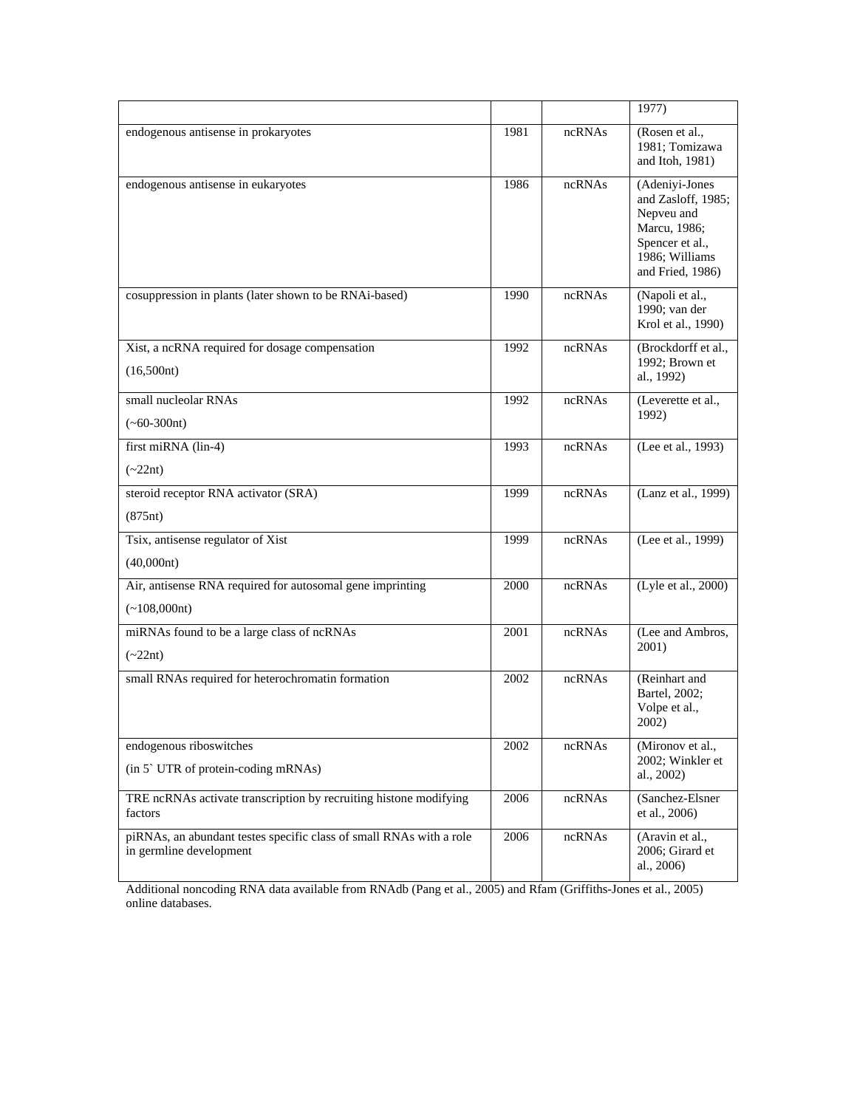|                                                                                                                                                                                                                      |             |                                                | 1977)                                                                                                                       |
|----------------------------------------------------------------------------------------------------------------------------------------------------------------------------------------------------------------------|-------------|------------------------------------------------|-----------------------------------------------------------------------------------------------------------------------------|
| endogenous antisense in prokaryotes                                                                                                                                                                                  | 1981        | ncRNAs                                         | (Rosen et al.,<br>1981; Tomizawa<br>and Itoh, 1981)                                                                         |
| endogenous antisense in eukaryotes                                                                                                                                                                                   | 1986        | ncRNAs                                         | (Adeniyi-Jones<br>and Zasloff, 1985;<br>Nepveu and<br>Marcu, 1986;<br>Spencer et al.,<br>1986; Williams<br>and Fried, 1986) |
| cosuppression in plants (later shown to be RNAi-based)                                                                                                                                                               | 1990        | ncRNAs                                         | (Napoli et al.,<br>1990; van der<br>Krol et al., 1990)                                                                      |
| Xist, a ncRNA required for dosage compensation<br>(16,500nt)                                                                                                                                                         | 1992        | ncRNAs                                         | (Brockdorff et al.,<br>1992; Brown et<br>al., 1992)                                                                         |
| small nucleolar RNAs<br>$(-60-300nt)$                                                                                                                                                                                | 1992        | ncRNAs                                         | (Leverette et al.,<br>1992)                                                                                                 |
| first miRNA (lin-4)                                                                                                                                                                                                  | 1993        | ncRNAs                                         | (Lee et al., 1993)                                                                                                          |
| $(\sim 22$ nt)                                                                                                                                                                                                       |             |                                                |                                                                                                                             |
| steroid receptor RNA activator (SRA)                                                                                                                                                                                 | 1999        | ncRNAs                                         | (Lanz et al., 1999)                                                                                                         |
| (875nt)                                                                                                                                                                                                              |             |                                                |                                                                                                                             |
| Tsix, antisense regulator of Xist                                                                                                                                                                                    | 1999        | ncRNAs                                         | (Lee et al., 1999)                                                                                                          |
| (40,000nt)                                                                                                                                                                                                           |             |                                                |                                                                                                                             |
| Air, antisense RNA required for autosomal gene imprinting                                                                                                                                                            | 2000        | ncRNAs                                         | (Lyle et al., 2000)                                                                                                         |
| $(-108,000nt)$                                                                                                                                                                                                       |             |                                                |                                                                                                                             |
| miRNAs found to be a large class of ncRNAs                                                                                                                                                                           | 2001        | ncRNAs                                         | (Lee and Ambros,<br>2001)                                                                                                   |
| $(\sim 22$ nt)                                                                                                                                                                                                       |             |                                                |                                                                                                                             |
| small RNAs required for heterochromatin formation                                                                                                                                                                    | 2002        | ncRNAs                                         | (Reinhart and<br>Bartel, 2002;<br>Volpe et al.,<br>2002)                                                                    |
| endogenous riboswitches                                                                                                                                                                                              | 2002        | ncRNAs                                         | (Mironov et al.,                                                                                                            |
| (in 5` UTR of protein-coding mRNAs)                                                                                                                                                                                  |             |                                                | 2002; Winkler et<br>al., 2002)                                                                                              |
| TRE ncRNAs activate transcription by recruiting histone modifying<br>factors                                                                                                                                         | 2006        | ncRNAs                                         | (Sanchez-Elsner<br>et al., 2006)                                                                                            |
| piRNAs, an abundant testes specific class of small RNAs with a role<br>in germline development<br>$\lim_{x\to 0}$ DNA data smalled from DNA dk (Dens at al. 2005)<br>$\mathbf{A}$ of $\mathbf{A}$ and $\mathbf{A}$ . | 2006<br>JPL | ncRNAs<br>$\overline{C}$ : $\overline{C}$ : 1. | (Aravin et al.,<br>2006; Girard et<br>al., 2006)                                                                            |

Additional noncoding RNA data available from RNAdb (Pang et al., 2005) and Rfam (Griffiths-Jones et al., 2005) online databases.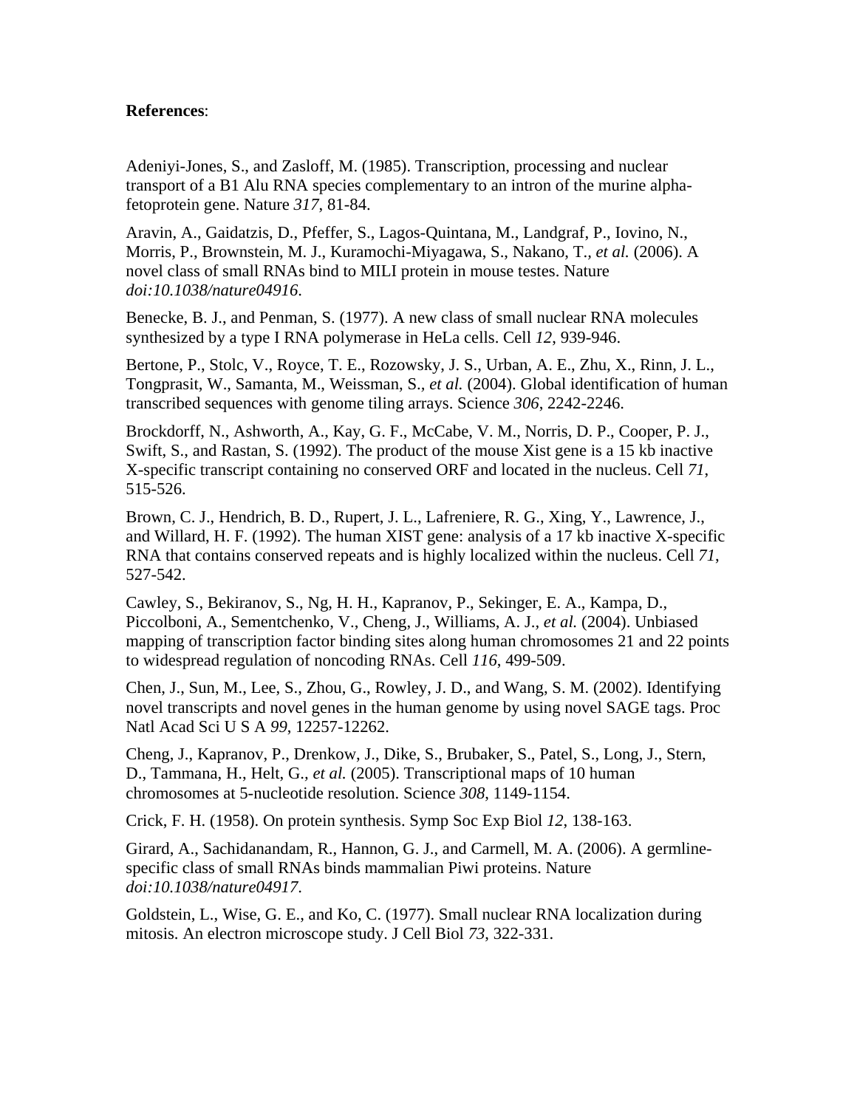### **References**:

Adeniyi-Jones, S., and Zasloff, M. (1985). Transcription, processing and nuclear transport of a B1 Alu RNA species complementary to an intron of the murine alphafetoprotein gene. Nature *317*, 81-84.

Aravin, A., Gaidatzis, D., Pfeffer, S., Lagos-Quintana, M., Landgraf, P., Iovino, N., Morris, P., Brownstein, M. J., Kuramochi-Miyagawa, S., Nakano, T.*, et al.* (2006). A novel class of small RNAs bind to MILI protein in mouse testes. Nature *doi:10.1038/nature04916*.

Benecke, B. J., and Penman, S. (1977). A new class of small nuclear RNA molecules synthesized by a type I RNA polymerase in HeLa cells. Cell *12*, 939-946.

Bertone, P., Stolc, V., Royce, T. E., Rozowsky, J. S., Urban, A. E., Zhu, X., Rinn, J. L., Tongprasit, W., Samanta, M., Weissman, S.*, et al.* (2004). Global identification of human transcribed sequences with genome tiling arrays. Science *306*, 2242-2246.

Brockdorff, N., Ashworth, A., Kay, G. F., McCabe, V. M., Norris, D. P., Cooper, P. J., Swift, S., and Rastan, S. (1992). The product of the mouse Xist gene is a 15 kb inactive X-specific transcript containing no conserved ORF and located in the nucleus. Cell *71*, 515-526.

Brown, C. J., Hendrich, B. D., Rupert, J. L., Lafreniere, R. G., Xing, Y., Lawrence, J., and Willard, H. F. (1992). The human XIST gene: analysis of a 17 kb inactive X-specific RNA that contains conserved repeats and is highly localized within the nucleus. Cell *71*, 527-542.

Cawley, S., Bekiranov, S., Ng, H. H., Kapranov, P., Sekinger, E. A., Kampa, D., Piccolboni, A., Sementchenko, V., Cheng, J., Williams, A. J.*, et al.* (2004). Unbiased mapping of transcription factor binding sites along human chromosomes 21 and 22 points to widespread regulation of noncoding RNAs. Cell *116*, 499-509.

Chen, J., Sun, M., Lee, S., Zhou, G., Rowley, J. D., and Wang, S. M. (2002). Identifying novel transcripts and novel genes in the human genome by using novel SAGE tags. Proc Natl Acad Sci U S A *99*, 12257-12262.

Cheng, J., Kapranov, P., Drenkow, J., Dike, S., Brubaker, S., Patel, S., Long, J., Stern, D., Tammana, H., Helt, G.*, et al.* (2005). Transcriptional maps of 10 human chromosomes at 5-nucleotide resolution. Science *308*, 1149-1154.

Crick, F. H. (1958). On protein synthesis. Symp Soc Exp Biol *12*, 138-163.

Girard, A., Sachidanandam, R., Hannon, G. J., and Carmell, M. A. (2006). A germlinespecific class of small RNAs binds mammalian Piwi proteins. Nature *doi:10.1038/nature04917*.

Goldstein, L., Wise, G. E., and Ko, C. (1977). Small nuclear RNA localization during mitosis. An electron microscope study. J Cell Biol *73*, 322-331.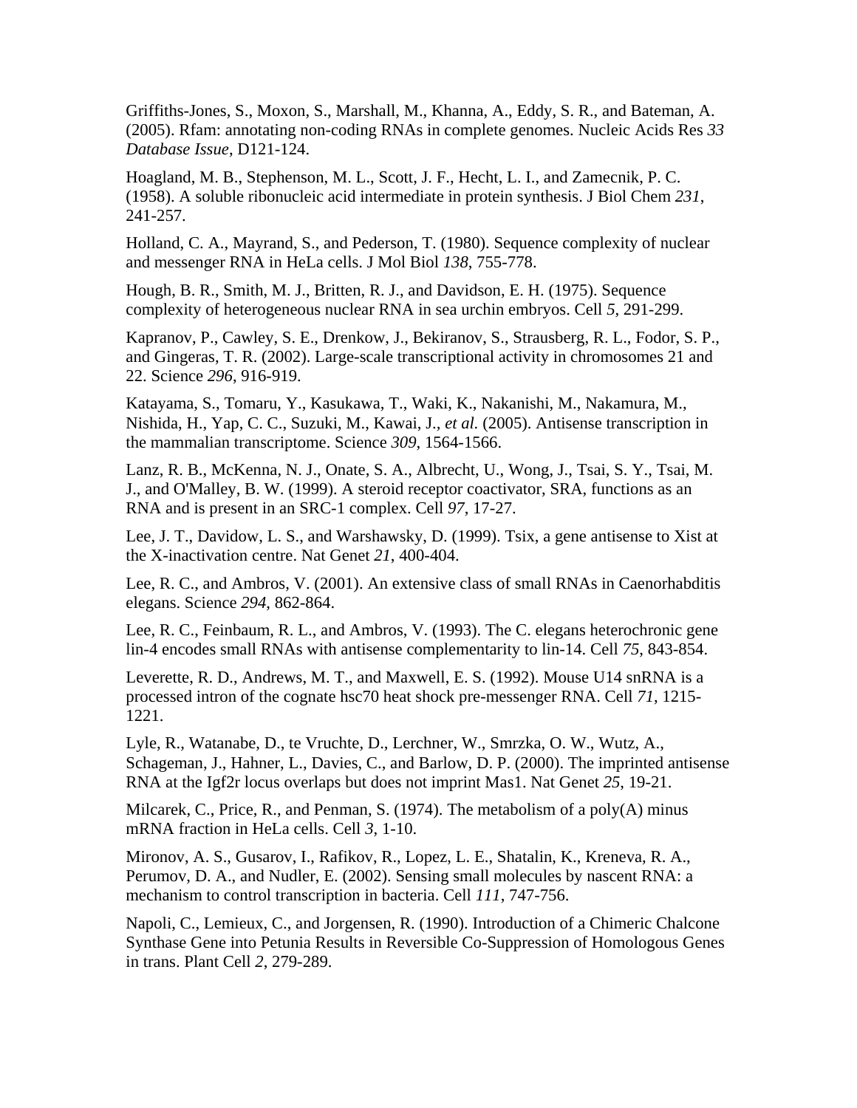Griffiths-Jones, S., Moxon, S., Marshall, M., Khanna, A., Eddy, S. R., and Bateman, A. (2005). Rfam: annotating non-coding RNAs in complete genomes. Nucleic Acids Res *33 Database Issue*, D121-124.

Hoagland, M. B., Stephenson, M. L., Scott, J. F., Hecht, L. I., and Zamecnik, P. C. (1958). A soluble ribonucleic acid intermediate in protein synthesis. J Biol Chem *231*, 241-257.

Holland, C. A., Mayrand, S., and Pederson, T. (1980). Sequence complexity of nuclear and messenger RNA in HeLa cells. J Mol Biol *138*, 755-778.

Hough, B. R., Smith, M. J., Britten, R. J., and Davidson, E. H. (1975). Sequence complexity of heterogeneous nuclear RNA in sea urchin embryos. Cell *5*, 291-299.

Kapranov, P., Cawley, S. E., Drenkow, J., Bekiranov, S., Strausberg, R. L., Fodor, S. P., and Gingeras, T. R. (2002). Large-scale transcriptional activity in chromosomes 21 and 22. Science *296*, 916-919.

Katayama, S., Tomaru, Y., Kasukawa, T., Waki, K., Nakanishi, M., Nakamura, M., Nishida, H., Yap, C. C., Suzuki, M., Kawai, J.*, et al.* (2005). Antisense transcription in the mammalian transcriptome. Science *309*, 1564-1566.

Lanz, R. B., McKenna, N. J., Onate, S. A., Albrecht, U., Wong, J., Tsai, S. Y., Tsai, M. J., and O'Malley, B. W. (1999). A steroid receptor coactivator, SRA, functions as an RNA and is present in an SRC-1 complex. Cell *97*, 17-27.

Lee, J. T., Davidow, L. S., and Warshawsky, D. (1999). Tsix, a gene antisense to Xist at the X-inactivation centre. Nat Genet *21*, 400-404.

Lee, R. C., and Ambros, V. (2001). An extensive class of small RNAs in Caenorhabditis elegans. Science *294*, 862-864.

Lee, R. C., Feinbaum, R. L., and Ambros, V. (1993). The C. elegans heterochronic gene lin-4 encodes small RNAs with antisense complementarity to lin-14. Cell *75*, 843-854.

Leverette, R. D., Andrews, M. T., and Maxwell, E. S. (1992). Mouse U14 snRNA is a processed intron of the cognate hsc70 heat shock pre-messenger RNA. Cell *71*, 1215- 1221.

Lyle, R., Watanabe, D., te Vruchte, D., Lerchner, W., Smrzka, O. W., Wutz, A., Schageman, J., Hahner, L., Davies, C., and Barlow, D. P. (2000). The imprinted antisense RNA at the Igf2r locus overlaps but does not imprint Mas1. Nat Genet *25*, 19-21.

Milcarek, C., Price, R., and Penman, S. (1974). The metabolism of a poly(A) minus mRNA fraction in HeLa cells. Cell *3*, 1-10.

Mironov, A. S., Gusarov, I., Rafikov, R., Lopez, L. E., Shatalin, K., Kreneva, R. A., Perumov, D. A., and Nudler, E. (2002). Sensing small molecules by nascent RNA: a mechanism to control transcription in bacteria. Cell *111*, 747-756.

Napoli, C., Lemieux, C., and Jorgensen, R. (1990). Introduction of a Chimeric Chalcone Synthase Gene into Petunia Results in Reversible Co-Suppression of Homologous Genes in trans. Plant Cell *2*, 279-289.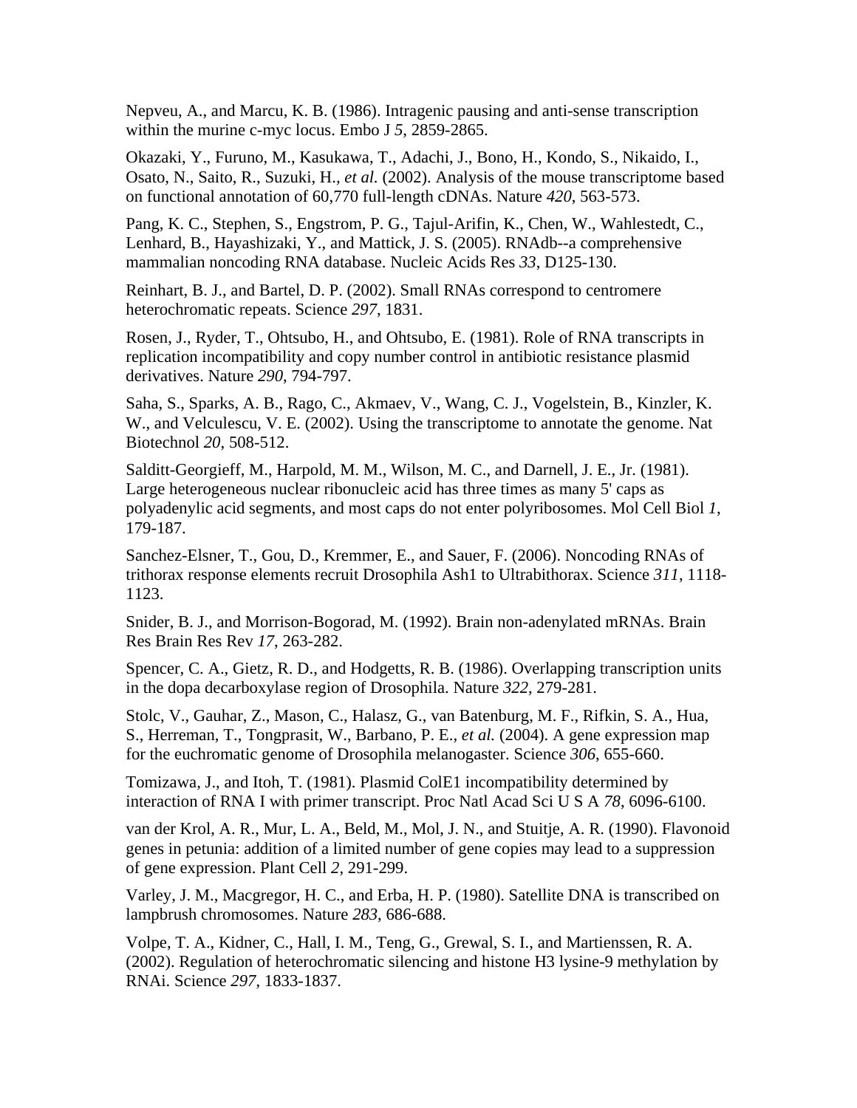Nepveu, A., and Marcu, K. B. (1986). Intragenic pausing and anti-sense transcription within the murine c-myc locus. Embo J *5*, 2859-2865.

Okazaki, Y., Furuno, M., Kasukawa, T., Adachi, J., Bono, H., Kondo, S., Nikaido, I., Osato, N., Saito, R., Suzuki, H.*, et al.* (2002). Analysis of the mouse transcriptome based on functional annotation of 60,770 full-length cDNAs. Nature *420*, 563-573.

Pang, K. C., Stephen, S., Engstrom, P. G., Tajul-Arifin, K., Chen, W., Wahlestedt, C., Lenhard, B., Hayashizaki, Y., and Mattick, J. S. (2005). RNAdb--a comprehensive mammalian noncoding RNA database. Nucleic Acids Res *33*, D125-130.

Reinhart, B. J., and Bartel, D. P. (2002). Small RNAs correspond to centromere heterochromatic repeats. Science *297*, 1831.

Rosen, J., Ryder, T., Ohtsubo, H., and Ohtsubo, E. (1981). Role of RNA transcripts in replication incompatibility and copy number control in antibiotic resistance plasmid derivatives. Nature *290*, 794-797.

Saha, S., Sparks, A. B., Rago, C., Akmaev, V., Wang, C. J., Vogelstein, B., Kinzler, K. W., and Velculescu, V. E. (2002). Using the transcriptome to annotate the genome. Nat Biotechnol *20*, 508-512.

Salditt-Georgieff, M., Harpold, M. M., Wilson, M. C., and Darnell, J. E., Jr. (1981). Large heterogeneous nuclear ribonucleic acid has three times as many 5' caps as polyadenylic acid segments, and most caps do not enter polyribosomes. Mol Cell Biol *1*, 179-187.

Sanchez-Elsner, T., Gou, D., Kremmer, E., and Sauer, F. (2006). Noncoding RNAs of trithorax response elements recruit Drosophila Ash1 to Ultrabithorax. Science *311*, 1118- 1123.

Snider, B. J., and Morrison-Bogorad, M. (1992). Brain non-adenylated mRNAs. Brain Res Brain Res Rev *17*, 263-282.

Spencer, C. A., Gietz, R. D., and Hodgetts, R. B. (1986). Overlapping transcription units in the dopa decarboxylase region of Drosophila. Nature *322*, 279-281.

Stolc, V., Gauhar, Z., Mason, C., Halasz, G., van Batenburg, M. F., Rifkin, S. A., Hua, S., Herreman, T., Tongprasit, W., Barbano, P. E.*, et al.* (2004). A gene expression map for the euchromatic genome of Drosophila melanogaster. Science *306*, 655-660.

Tomizawa, J., and Itoh, T. (1981). Plasmid ColE1 incompatibility determined by interaction of RNA I with primer transcript. Proc Natl Acad Sci U S A *78*, 6096-6100.

van der Krol, A. R., Mur, L. A., Beld, M., Mol, J. N., and Stuitje, A. R. (1990). Flavonoid genes in petunia: addition of a limited number of gene copies may lead to a suppression of gene expression. Plant Cell *2*, 291-299.

Varley, J. M., Macgregor, H. C., and Erba, H. P. (1980). Satellite DNA is transcribed on lampbrush chromosomes. Nature *283*, 686-688.

Volpe, T. A., Kidner, C., Hall, I. M., Teng, G., Grewal, S. I., and Martienssen, R. A. (2002). Regulation of heterochromatic silencing and histone H3 lysine-9 methylation by RNAi. Science *297*, 1833-1837.